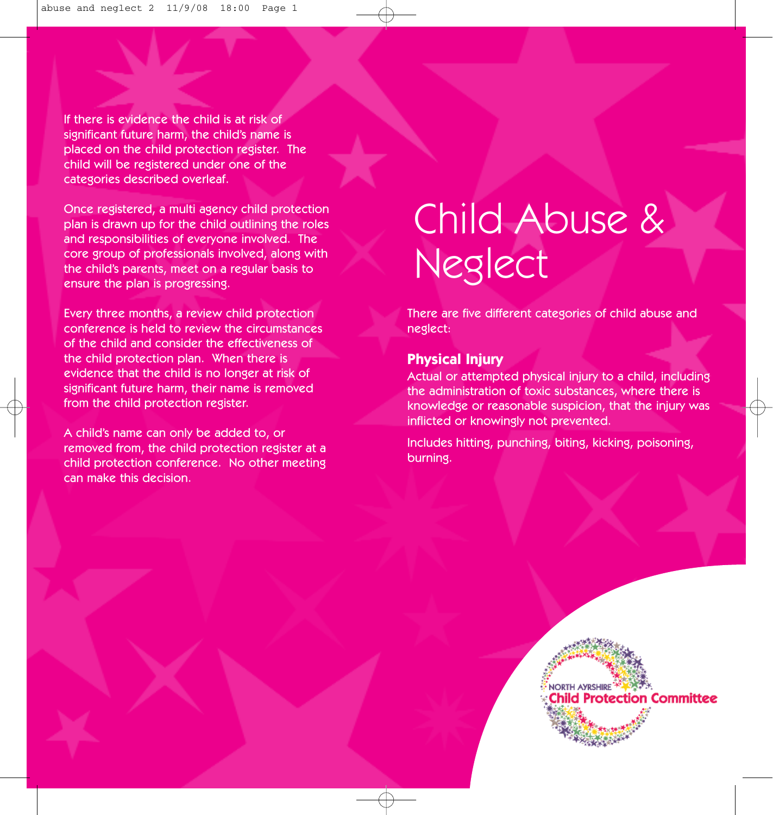If there is evidence the child is at risk of significant future harm, the child's name is placed on the child protection register. The child will be registered under one of the categories described overleaf.

Once registered, a multi agency child protection plan is drawn up for the child outlining the roles and responsibilities of everyone involved. The core group of professionals involved, along with the child's parents, meet on a regular basis to ensure the plan is progressing.

Every three months, a review child protection conference is held to review the circumstances of the child and consider the effectiveness of the child protection plan. When there is evidence that the child is no longer at risk of significant future harm, their name is removed from the child protection register.

A child's name can only be added to, or removed from, the child protection register at a child protection conference. No other meeting can make this decision.

# Child Abuse & Neglect

There are five different categories of child abuse and neglect:

### **Physical Injury**

Actual or attempted physical injury to a child, including the administration of toxic substances, where there is knowledge or reasonable suspicion, that the injury was inflicted or knowingly not prevented.

Includes hitting, punching, biting, kicking, poisoning, burning.